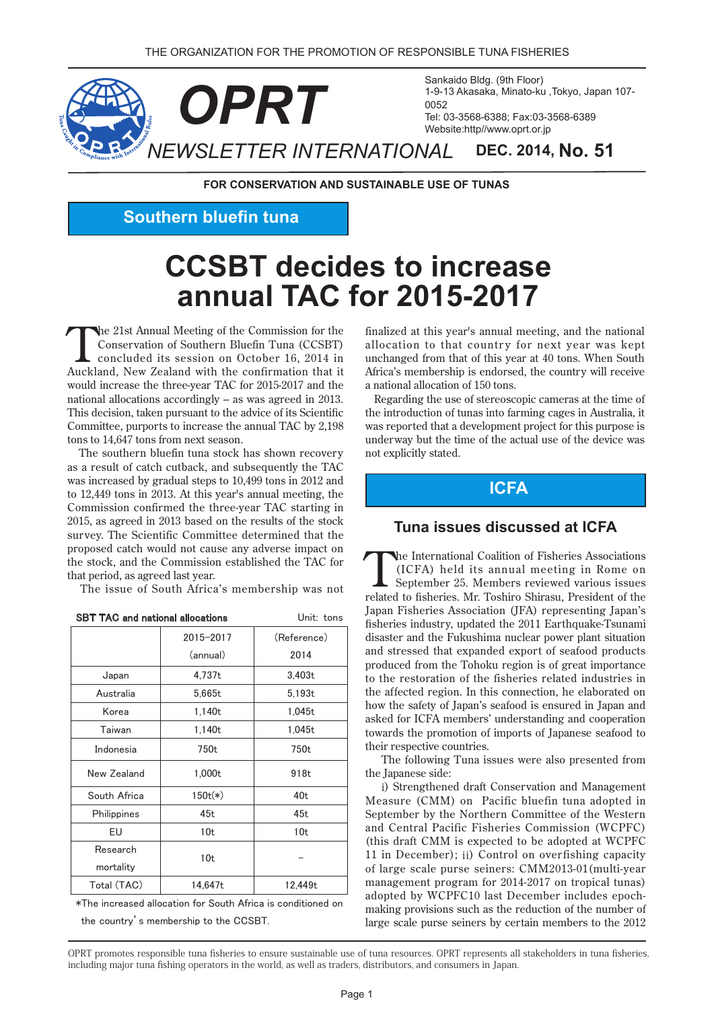

**FOR CONSERVATION AND SUSTAINABLE USE OF TUNAS** 

**Southern bluefin tuna** 

# **CCSBT** decides to increase **2015-2017 for TAC annual**

the 21st Annual Meeting of the Commission for the Conservation of Southern Bluefin Tuna (CCSBT) concluded its session on October 16, 2014 in Auckland, New Zealand with the confirmation that it would increase the three-year TAC for 2015-2017 and the national allocations accordingly  $-$  as was agreed in 2013. This decision, taken pursuant to the advice of its Scientific Committee, purports to increase the annual TAC by 2,198 tons to 14,647 tons from next season.

The southern bluefin tuna stock has shown recovery as a result of catch cutback, and subsequently the TAC was increased by gradual steps to  $10,499$  tons in  $2012$  and to  $12,449$  tons in 2013. At this year's annual meeting, the Commission confirmed the three-year TAC starting in  $2015$ , as agreed in 2013 based on the results of the stock survey. The Scientific Committee determined that the proposed catch would not cause any adverse impact on the stock, and the Commission established the TAC for that period, as agreed last year.

The issue of South Africa's membership was not

| <b>SBT TAC and national allocations</b> |                 | Unit: tons      |
|-----------------------------------------|-----------------|-----------------|
|                                         | 2015-2017       | (Reference)     |
|                                         | (annual)        | 2014            |
| Japan                                   | 4,737t          | 3,403t          |
| Australia                               | 5,665t          | 5,193t          |
| Korea                                   | 1,140t          | 1,045t          |
| Taiwan                                  | 1,140t          | 1,045t          |
| Indonesia                               | 750t            | 750t            |
| New Zealand                             | 1,000t          | 918t            |
| South Africa                            | $150t(*)$       | 40 <sub>t</sub> |
| Philippines                             | 45t             | 45t             |
| EU                                      | 10 <sub>t</sub> | 10 <sub>t</sub> |
| Research                                | 10 <sub>t</sub> |                 |
| mortality                               |                 |                 |
| Total (TAC)                             | 14,647t         | 12,449t         |

㻖㼀㼔㼑㻌㼕㼚㼏㼞㼑㼍㼟㼑㼐㻌㼍㼘㼘㼛㼏㼍㼠㼕㼛㼚㻌㼒㼛㼞㻌㻿㼛㼡㼠㼔㻌㻭㼒㼞㼕㼏㼍㻌㼕㼟㻌㼏㼛㼚㼐㼕㼠㼕㼛㼚㼑㼐㻌㼛㼚㻌 the country's membership to the CCSBT.

finalized at this year's annual meeting, and the national allocation to that country for next year was kept unchanged from that of this year at 40 tons. When South Africa's membership is endorsed, the country will receive a national allocation of 150 tons.

Regarding the use of stereoscopic cameras at the time of the introduction of tunas into farming cages in Australia, it was reported that a development project for this purpose is underway but the time of the actual use of the device was not explicitly stated.

#### **ICFA**

#### **Tuna issues discussed at ICFA**

The International Coalition of Fisheries Associations<br>
(ICFA) held its annual meeting in Rome on<br>
September 25. Members reviewed various issues<br>
related to fisherics Mr. Teshine Shiresu President of the (ICFA) held its annual meeting in Rome on related to fisheries. Mr. Toshiro Shirasu, President of the Japan Fisheries Association (JFA) representing Japan's fisheries industry, updated the 2011 Earthquake-Tsunami disaster and the Fukushima nuclear power plant situation and stressed that expanded export of seafood products produced from the Tohoku region is of great importance to the restoration of the fisheries related industries in the affected region. In this connection, he elaborated on how the safety of Japan's seafood is ensured in Japan and asked for ICFA members' understanding and cooperation towards the promotion of imports of Japanese seafood to their respective countries.

The following Tuna issues were also presented from the Japanese side:

i) Strengthened draft Conservation and Management Measure (CMM) on Pacific bluefin tuna adopted in September by the Northern Committee of the Western and Central Pacific Fisheries Commission (WCPFC) (this draft CMM is expected to be adopted at WCPFC) 11 in December); ii) Control on overfishing capacity of large scale purse seiners: CMM2013-01(multi-year management program for 2014-2017 on tropical tunas) making provisions such as the reduction of the number of adopted by WCPFC10 last December includes epochlarge scale purse seiners by certain members to the 2012

OPRT promotes responsible tuna fisheries to ensure sustainable use of tuna resources. OPRT represents all stakeholders in tuna fisheries, including major tuna fishing operators in the world, as well as traders, distributors, and consumers in Japan.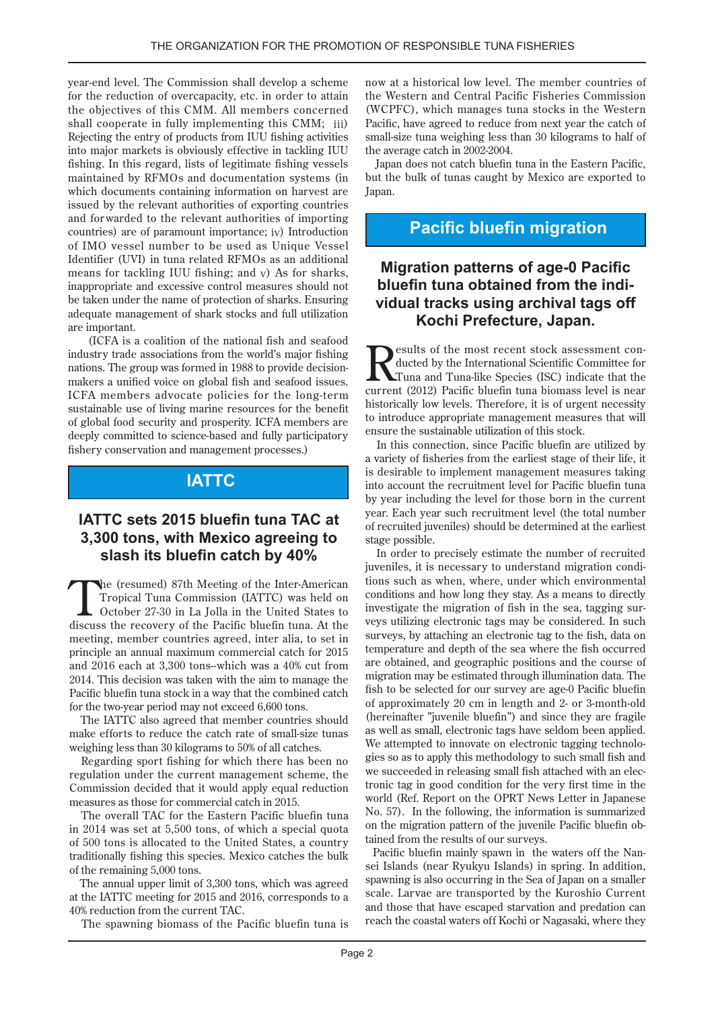year-end level. The Commission shall develop a scheme for the reduction of overcapacity, etc. in order to attain the objectives of this CMM. All members concerned shall cooperate in fully implementing this CMM; iii) Rejecting the entry of products from IUU fishing activities into major markets is obviously effective in tackling IUU fishing. In this regard, lists of legitimate fishing vessels maintained by RFMOs and documentation systems (in which documents containing information on harvest are issued by the relevant authorities of exporting countries and forwarded to the relevant authorities of importing countries) are of paramount importance;  $iv$  Introduction of IMO vessel number to be used as Unique Vessel Identifier (UVI) in tuna related RFMOs as an additional means for tackling IUU fishing; and  $v$ ) As for sharks, inappropriate and excessive control measures should not be taken under the name of protection of sharks. Ensuring adequate management of shark stocks and full utilization are important.

(ICFA is a coalition of the national fish and seafood industry trade associations from the world's major fishing makers a unified voice on global fish and seafood issues. nations. The group was formed in 1988 to provide decision-ICFA members advocate policies for the long-term sustainable use of living marine resources for the benefit of global food security and prosperity. ICFA members are deeply committed to science-based and fully participatory fishery conservation and management processes.)

# **IATTC**

## **IATTC sets 2015 bluefin tuna TAC at 3,300 tons, with Mexico agreeing to slash its bluefin catch by 40%**

The (resumed) 87th Meeting of the Inter-American<br>Tropical Tuna Commission (IATTC) was held on<br>October 27-30 in La Jolla in the United States to<br>States the Besifie bluefin tune At the Tropical Tuna Commission (IATTC) was held on discuss the recovery of the Pacific bluefin tuna. At the meeting, member countries agreed, inter alia, to set in principle an annual maximum commercial catch for 2015 and  $2016$  each at  $3.300$  tons--which was a  $40\%$  cut from 2014. This decision was taken with the aim to manage the Pacific bluefin tuna stock in a way that the combined catch for the two-year period may not exceed 6,600 tons.

The IATTC also agreed that member countries should make efforts to reduce the catch rate of small-size tunas weighing less than 30 kilograms to 50% of all catches.

Regarding sport fishing for which there has been no regulation under the current management scheme, the Commission decided that it would apply equal reduction measures as those for commercial catch in 2015.

The overall TAC for the Eastern Pacific bluefin tuna in  $2014$  was set at 5,500 tons, of which a special quota of 500 tons is allocated to the United States, a country traditionally fishing this species. Mexico catches the bulk of the remaining 5,000 tons.

The annual upper limit of 3,300 tons, which was agreed at the IATTC meeting for 2015 and 2016, corresponds to a 40% reduction from the current TAC.

The spawning biomass of the Pacific bluefin tuna is

now at a historical low level. The member countries of the Western and Central Pacific Fisheries Commission (WCPFC), which manages tuna stocks in the Western Pacific, have agreed to reduce from next year the catch of small-size tuna weighing less than 30 kilograms to half of the average catch in 2002-2004.

Japan does not catch bluefin tuna in the Eastern Pacific, but the bulk of tunas caught by Mexico are exported to .Japan

# **Pacific bluefin migration**

## **Migration patterns of age-0 Pacific vidual tracks using archival tags off bluefin tuna obtained from the indi-Kochi Prefecture, Japan.**

ducted by the International Scientific Committee for esults of the most recent stock assessment con-Tuna and Tuna-like Species (ISC) indicate that the current (2012) Pacific bluefin tuna biomass level is near historically low levels. Therefore, it is of urgent necessity to introduce appropriate management measures that will ensure the sustainable utilization of this stock.

In this connection, since Pacific bluefin are utilized by a variety of fisheries from the earliest stage of their life, it is desirable to implement management measures taking into account the recruitment level for Pacific bluefin tuna by year including the level for those born in the current year. Each year such recruitment level (the total number of recruited juveniles) should be determined at the earliest stage possible.

In order to precisely estimate the number of recruited tions such as when, where, under which environmental juveniles, it is necessary to understand migration condiconditions and how long they stay. As a means to directly veys utilizing electronic tags may be considered. In such investigate the migration of fish in the sea, tagging sursurveys, by attaching an electronic tag to the fish, data on temperature and depth of the sea where the fish occurred are obtained, and geographic positions and the course of migration may be estimated through illumination data. The fish to be selected for our survey are age-0 Pacific bluefin of approximately 20 cm in length and 2- or 3-month-old (hereinafter "juvenile bluefin") and since they are fragile as well as small, electronic tags have seldom been applied. gies so as to apply this methodology to such small fish and We attempted to innovate on electronic tagging technolotronic tag in good condition for the very first time in the we succeeded in releasing small fish attached with an elecworld (Ref. Report on the OPRT News Letter in Japanese No. 57). In the following, the information is summarized on the migration pattern of the juvenile Pacific bluefin obtained from the results of our surveys.

Pacific bluefin mainly spawn in the waters off the Nansei Islands (near Ryukyu Islands) in spring. In addition, spawning is also occurring in the Sea of Japan on a smaller scale. Larvae are transported by the Kuroshio Current and those that have escaped starvation and predation can reach the coastal waters off Kochi or Nagasaki, where they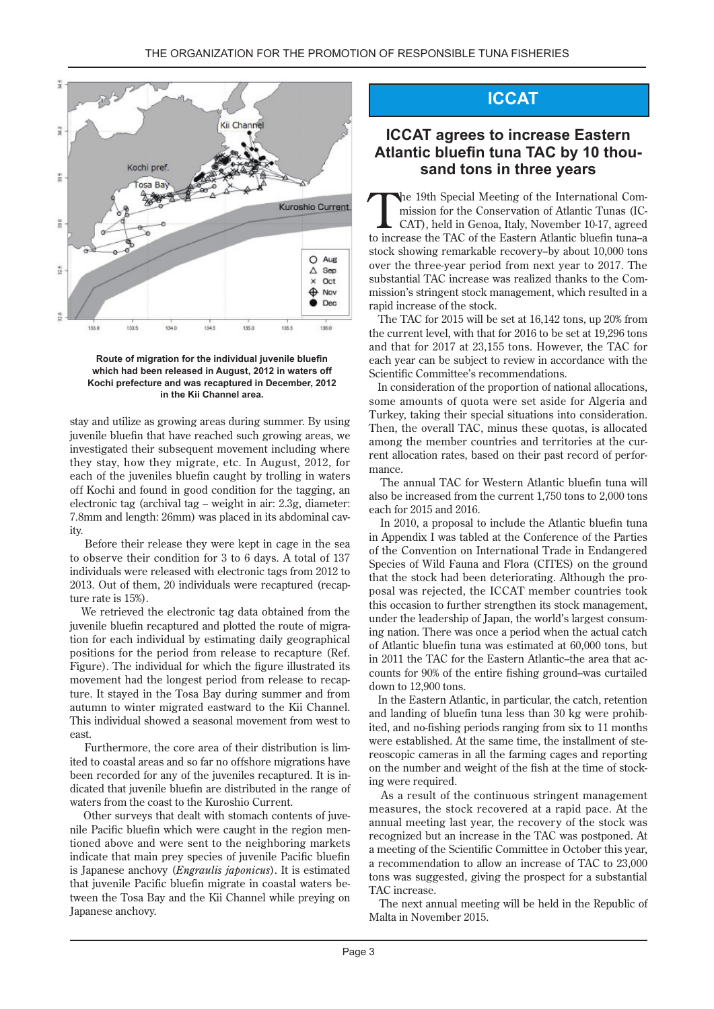

#### Route of migration for the individual juvenile bluefin which had been released in August, 2012 in waters off Kochi prefecture and was recaptured in December, 2012 in the Kii Channel area.

stay and utilize as growing areas during summer. By using juvenile bluefin that have reached such growing areas, we investigated their subsequent movement including where they stay, how they migrate, etc. In August, 2012, for each of the juveniles bluefin caught by trolling in waters off Kochi and found in good condition for the tagging, an electronic tag (archival tag -- weight in air: 2.3g, diameter: 7.8mm and length: 26mm) was placed in its abdominal cav-<br>ity.

Before their release they were kept in cage in the sea to observe their condition for 3 to 6 days. A total of 137 individuals were released with electronic tags from 2012 to 2013. Out of them, 20 individuals were recaptured (recapture is 15%).

We retrieved the electronic tag data obtained from the tion for each individual by estimating daily geographical juvenile bluefin recaptured and plotted the route of migrapositions for the period from release to recapture (Ref. Figure). The individual for which the figure illustrated its ture. It stayed in the Tosa Bay during summer and from movement had the longest period from release to recapautumn to winter migrated eastward to the Kii Channel. This individual showed a seasonal movement from west to east

ited to coastal areas and so far no offshore migrations have Furthermore, the core area of their distribution is limdicated that juvenile bluefin are distributed in the range of been recorded for any of the juveniles recaptured. It is inwaters from the coast to the Kuroshio Current.

tioned above and were sent to the neighboring markets nile Pacific bluefin which were caught in the region men-Other surveys that dealt with stomach contents of juveindicate that main prey species of juvenile Pacific bluefin is Japanese anchovy (*Engraulis japonicus*). It is estimated tween the Tosa Bay and the Kii Channel while preying on that juvenile Pacific bluefin migrate in coastal waters be-Japanese anchovy.

# **ICCAT**

# **ICCAT** agrees to increase Eastern Atlantic bluefin tuna TAC by 10 thou-<br>sand tons in three years

CAT), held in Genoa, Italy, November 10-17, agreed mission for the Conservation of Atlantic Tunas (IC-The 19th Special Meeting of the International Comto increase the TAC of the Eastern Atlantic bluefin tuna-a stock showing remarkable recovery--by about 10,000 tons over the three-year period from next year-to 2017. The mission's stringent stock management, which resulted in a substantial TAC increase was realized thanks to the Comrapid increase of the stock.

The TAC for 2015 will be set at  $16,142$  tons, up 20% from the current level, with that for  $2016$  to be set at  $19,296$  tons and that for 2017 at 23,155 tons. However, the TAC for each year can be subject to review in accordance with the Scientific Committee's recommendations.

In consideration of the proportion of national allocations, some amounts of quota were set aside for Algeria and Turkey, taking their special situations into consideration. Then, the overall TAC, minus these quotas, is allocated rent allocation rates, based on their past record of performance. among the member countries and territories at the current allocation rates, based on their past record of perforamong the member countries and territories at the cur-

The annual TAC for Western Atlantic bluefin tuna will also be increased from the current  $1,750$  tons to  $2,000$  tons each for 2015 and 2016.

In 2010, a proposal to include the Atlantic bluefin tuna in Appendix I was tabled at the Conference of the Parties of the Convention on International Trade in Endangered Species of Wild Fauna and Flora (CITES) on the ground posal was rejected, the ICCAT member countries took that the stock had been deteriorating. Although the prothis occasion to further strengthen its stock management, ing nation. There was once a period when the actual catch under the leadership of Japan, the world's largest consumof Atlantic bluefin tuna was estimated at 60,000 tons, but counts for 90% of the entire fishing ground-was curtailed in 2011 the TAC for the Eastern Atlantic--the area that acdown to  $12.900$  tons.

In the Eastern Atlantic, in particular, the catch, retention ited, and no-fishing periods ranging from six to 11 months and landing of bluefin tuna less than 30 kg were prohibreproduce cameras in all the farming cages and reporting were established. At the same time, the installment of steon the number and weight of the fish at the time of stocking were required.

As a result of the continuous stringent management measures, the stock recovered at a rapid pace. At the annual meeting last year, the recovery of the stock was recognized but an increase in the TAC was postponed. At a meeting of the Scientific Committee in October this year, a recommendation to allow an increase of TAC to  $23,000$ tons was suggested, giving the prospect for a substantial TAC increase.

The next annual meeting will be held in the Republic of Malta in November 2015.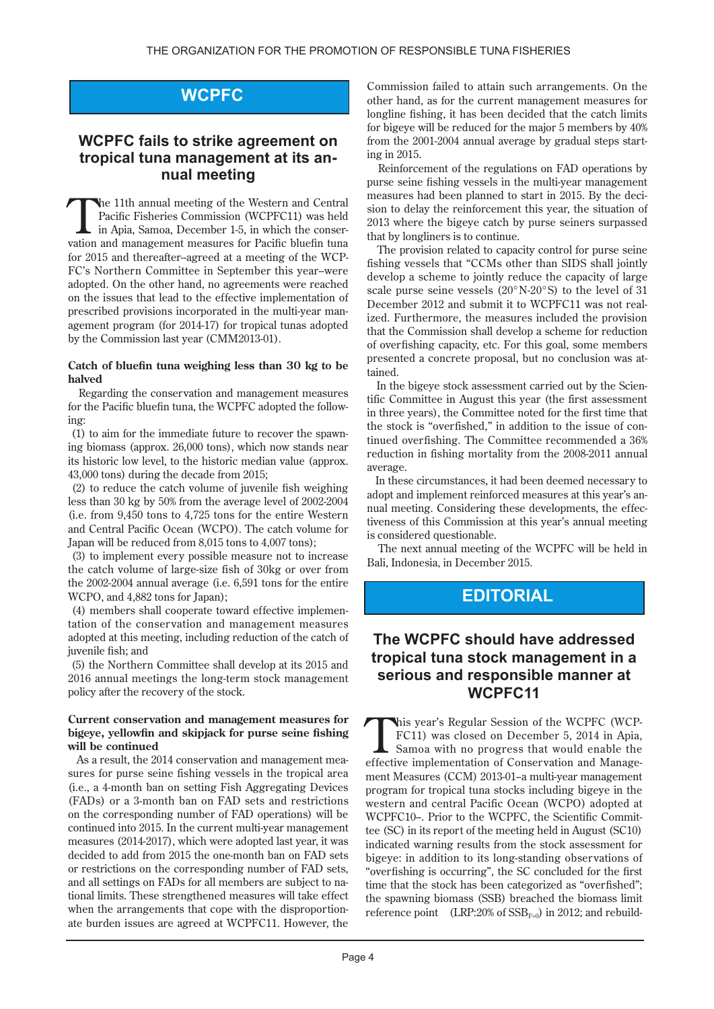# **WCPFC**

# **WCPFC** fails to strike agreement on -tropical tuna management at its an<br>nual meeting

The 11th annual meeting of the Western and Central Pacific Fisheries Commission (WCPFC11) was held vation and management measures for Pacific bluefin tuna in Apia, Samoa, December 1-5, in which the conser-FC's Northern Committee in September this year-were for  $2015$  and thereafter-agreed at a meeting of the WCPadopted. On the other hand, no agreements were reached on the issues that lead to the effective implementation of agement program (for  $2014-17$ ) for tropical tunas adopted prescribed provisions incorporated in the multi-year manby the Commission last year (CMM 2013-01).

#### Catch of bluefin tuna weighing less than 30 kg to be **halved**

Regarding the conservation and management measures for the Pacific bluefin tuna, the WCPFC adopted the following:

ing biomass (approx,  $26,000$  tons), which now stands near  $(1)$  to aim for the immediate future to recover the spawnits historic low level, to the historic median value (approx.  $43,000$  tons) during the decade from 2015;

 $(2)$  to reduce the catch volume of juvenile fish weighing less than 30 kg by 50% from the average level of 2002-2004 (i.e. from  $9,450$  tons to  $4,725$  tons for the entire Western and Central Pacific Ocean (WCPO). The catch volume for Japan will be reduced from  $8,015$  tons to  $4,007$  tons);

 $\alpha$  is to implement every possible measure not to increase the catch volume of large-size fish of 30kg or over from the  $2002-2004$  annual average (i.e.  $6,591$  tons for the entire WCPO, and 4,882 tons for Japan);

tation of the conservation and management measures  $(4)$  members shall cooperate toward effective implemenadopted at this meeting, including reduction of the catch of juvenile fish; and

(5) the Northern Committee shall develop at its 2015 and 2016 annual meetings the long-term stock management policy after the recovery of the stock.

#### **Current conservation and management measures for bigeve, vellowfin and skipjack for purse seine fishing** will be continued

sures for purse seine fishing vessels in the tropical area As a result, the 2014 conservation and management mea-(i.e., a 4-month ban on setting Fish Aggregating Devices (FADs) or a 3-month ban on FAD sets and restrictions on the corresponding number of FAD operations) will be continued into 2015. In the current multi-year management measures (2014-2017), which were adopted last year, it was decided to add from 2015 the one-month ban on FAD sets or restrictions on the corresponding number of FAD sets, tional limits. These strengthened measures will take effect and all settings on FADs for all members are subject to naate burden issues are agreed at WCPFC11. However, the when the arrangements that cope with the disproportionCommission failed to attain such arrangements. On the other hand, as for the current management measures for longline fishing, it has been decided that the catch limits for bigeye will be reduced for the major  $5$  members by  $40\%$ from the 2001-2004 annual average by gradual steps starting in 2015.

Reinforcement of the regulations on FAD operations by purse seine fishing vessels in the multi-year-management sion to delay the reinforcement this year, the situation of measures had been planned to start in 2015. By the deci-2013 where the bigeye catch by purse seiners surpassed that by longliners is to continue.

The provision related to capacity control for purse seine fishing vessels that "CCMs other than SIDS shall jointly develop a scheme to jointly reduce the capacity of large scale purse seine vessels  $(20^{\circ}N-20^{\circ}S)$  to the level of 31 ized. Furthermore, the measures included the provision December 2012 and submit it to WCPFC11 was not realthat the Commission shall develop a scheme for reduction of overfishing capacity, etc. For this goal, some members presented a concrete proposal, but no conclusion was attained.

tific Committee in August this year (the first assessment In the bigeye stock assessment carried out by the Scienin three years), the Committee noted for the first time that tinued overfishing. The Committee recommended a  $36\%$ the stock is "overfished," in addition to the issue of conreduction in fishing mortality from the  $2008-2011$  annual .average

In these circumstances, it had been deemed necessary to tiveness of this Commission at this year's annual meeting nual meeting. Considering these developments, the effecadopt and implement reinforced measures at this year's anis considered questionable.

The next annual meeting of the WCPFC will be held in Bali. Indonesia. in December 2015.

# **EDITORIAL**

### **The WCPFC should have addressed tropical tuna stock management in a serious and responsible manner at** WCPFC<sub>11</sub>

FC11) was closed on December 5, 2014 in Apia, This year's Regular Session of the WCPFC (WCP-Samoa with no progress that would enable the ment Measures (CCM) 2013-01-a multi-year management effective implementation of Conservation and Manageprogram for tropical tuna stocks including bigeye in the western and central Pacific Ocean (WCPO) adopted at tee (SC) in its report of the meeting held in August (SC10) WCPFC10-. Prior to the WCPFC, the Scientific Commitindicated warning results from the stock assessment for bigeye: in addition to its long-standing observations of "overfishing is occurring", the SC concluded for the first time that the stock has been categorized as "overfished"; the spawning biomass (SSB) breached the biomass limit reference point (LRP:20% of  $SSB_{F=0}$ ) in 2012; and rebuild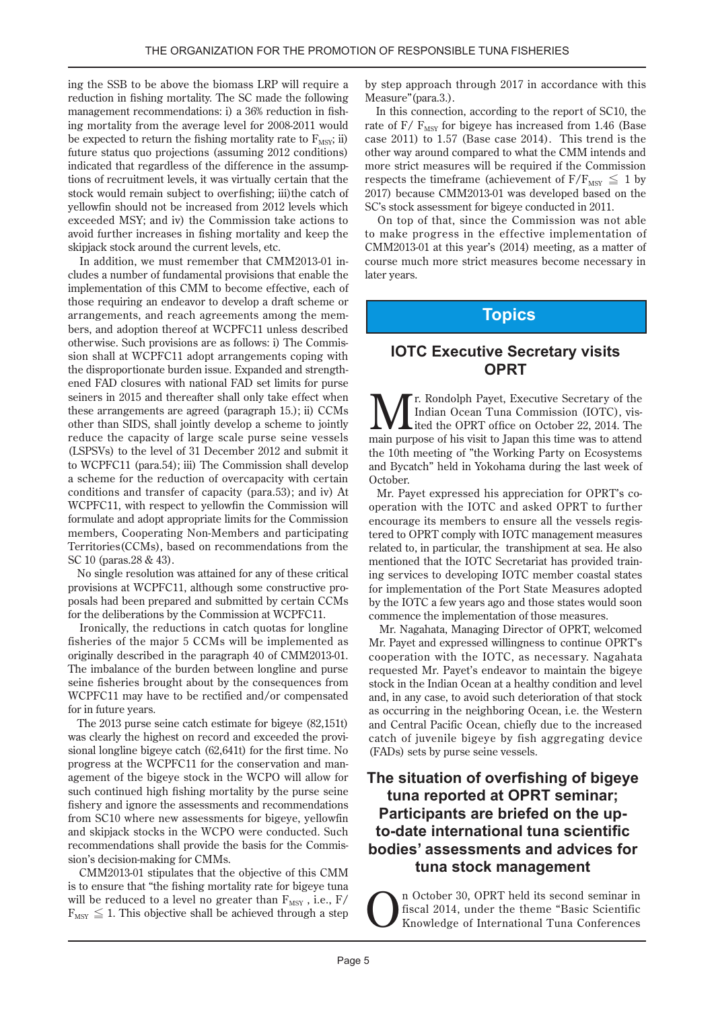ing the SSB to be above the biomass LRP will require a reduction in fishing mortality. The SC made the following ing mortality from the average level for 2008-2011 would management recommendations: i) a 36% reduction in fishbe expected to return the fishing mortality rate to  $F_{MSV}$ ; ii) future status quo projections (assuming 2012 conditions) tions of recruitment levels, it was virtually certain that the indicated that regardless of the difference in the assumpstock would remain subject to overfishing; iii) the catch of yellowfin should not be increased from 2012 levels which exceeded MSY; and iv) the Commission take actions to avoid further increases in fishing mortality and keep the skipjack stock around the current levels, etc.

cludes a number of fundamental provisions that enable the In addition, we must remember that CMM 2013-01 inimplementation of this CMM to become effective, each of those requiring an endeavor to develop a draft scheme or bers, and adoption thereof at WCPFC11 unless described arrangements, and reach agreements among the memsion shall at WCPFC11 adopt arrangements coping with otherwise. Such provisions are as follows: i) The Commisened FAD closures with national FAD set limits for purse the disproportionate burden issue. Expanded and strengthseiners in 2015 and thereafter shall only take effect when these arrangements are agreed (paragraph 15.); ii) CCMs other than SIDS, shall jointly develop a scheme to jointly reduce the capacity of large scale purse seine vessels (LSPSVs) to the level of 31 December 2012 and submit it to WCPFC11 (para.54); iii) The Commission shall develop a scheme for the reduction of overcapacity with certain conditions and transfer of capacity (para.53); and iv) At WCPFC11, with respect to yellowfin the Commission will formulate and adopt appropriate limits for the Commission members, Cooperating Non-Members and participating Territories (CCMs), based on recommendations from the SC 10 (paras  $.28 & 43$ ).

No single resolution was attained for any of these critical provisions at WCPFC11, although some constructive pro-<br>posals had been prepared and submitted by certain CCMs for the deliberations by the Commission at WCPFC11.

Ironically, the reductions in catch quotas for longline fisheries of the major 5 CCMs will be implemented as originally described in the paragraph 40 of CMM 2013-01. The imbalance of the burden between longline and purse seine fisheries brought about by the consequences from WCPFC11 may have to be rectified and/or compensated for in future years.

The  $2013$  purse seine catch estimate for bigeye  $(82.151t)$ sional longline bigeye catch  $(62,641t)$  for the first time. No was clearly the highest on record and exceeded the proviprogress at the WCPFC11 for the conservation and man-<br>agement of the bigeye stock in the WCPO will allow for such continued high fishing mortality by the purse seine fishery and ignore the assessments and recommendations from SC10 where new assessments for bigeye, yellowfin and skipjack stocks in the WCPO were conducted. Such recommendations shall provide the basis for the Commission's decision-making for CMMs.

CMM 2013-01 stipulates that the objective of this CMM is to ensure that "the fishing mortality rate for bigeye tuna will be reduced to a level no greater than  $F_{MSY}$ , i.e.,  $F/$  $F_{\text{MSY}} \leq 1$ . This objective shall be achieved through a step by step approach through 2017 in accordance with this Measure"(para.3.).

In this connection, according to the report of SC10, the rate of  $F/F_{MSY}$  for bigeye has increased from 1.46 (Base case 2011) to  $1.57$  (Base case 2014). This trend is the other way around compared to what the CMM intends and more strict measures will be required if the Commission respects the timeframe (achievement of  $F/F_{MSY} \leq 1$  by 2017) because CMM2013-01 was developed based on the SC's stock assessment for bigeye conducted in 2011.

On top of that, since the Commission was not able to make progress in the effective implementation of  $CMM2013-01$  at this year's  $(2014)$  meeting, as a matter of course much more strict measures become necessary in later years.

# **Topics**

## **IOTC Executive Secretary visits OPRT**

**M** I. Rondolph Payet, Executive Secretary of the Indian Ocean Tuna Commission (IOTC), visited the OPRT office on October 22, 2014. The ited the OPRT office on October 22, 2014. The Indian Ocean Tuna Commission (IOTC), vis main purpose of his visit to Japan this time was to attend the 10th meeting of "the Working Party on Ecosystems and Bycatch" held in Yokohama during the last week of .October

operation with the IOTC and asked OPRT to further Mr. Payet expressed his appreciation for OPRT's cotered to OPRT comply with IOTC management measures encourage its members to ensure all the vessels regisrelated to, in particular, the transhipment at sea. He also ing services to developing IOTC member coastal states mentioned that the IOTC Secretariat has provided trainfor implementation of the Port State Measures adopted by the IOTC a few years ago and those states would soon commence the implementation of those measures.

Mr. Nagahata, Managing Director of OPRT, welcomed Mr. Payet and expressed willingness to continue OPRT's cooperation with the IOTC, as necessary. Nagahata requested Mr. Payet's endeavor to maintain the bigeye stock in the Indian Ocean at a healthy condition and level and, in any case, to avoid such deterioration of that stock as occurring in the neighboring Ocean, i.e. the Western and Central Pacific Ocean, chiefly due to the increased catch of juvenile bigeye by fish aggregating device (FADs) sets by purse seine vessels.

## **The situation of overfishing of bigeye tuna reported at OPRT seminar; to-date international tuna scientific Participants are briefed on the upbodies' assessments and advices for tuna stock management**

n October 30, OPRT held its second seminar in<br>fiscal 2014, under the theme "Basic Scientific<br>Knowledge of International Tuna Conferences fiscal 2014, under the theme "Basic Scientific Knowledge of International Tuna Conferences